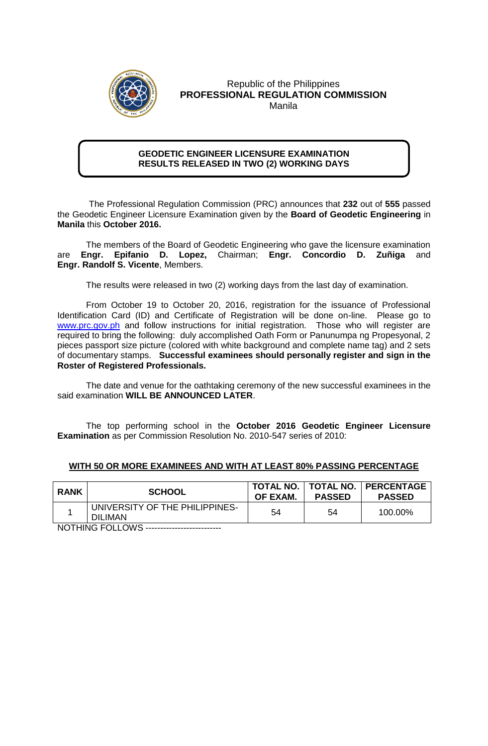

## Republic of the Philippines **PROFESSIONAL REGULATION COMMISSION** Manila

## **GEODETIC ENGINEER LICENSURE EXAMINATION RESULTS RELEASED IN TWO (2) WORKING DAYS**

 The Professional Regulation Commission (PRC) announces that **232** out of **555** passed the Geodetic Engineer Licensure Examination given by the **Board of Geodetic Engineering** in **Manila** this **October 2016.** 

The members of the Board of Geodetic Engineering who gave the licensure examination are **Engr. Epifanio D. Lopez,** Chairman; **Engr. Concordio D. Zuñiga** and **Engr. Randolf S. Vicente**, Members.

The results were released in two (2) working days from the last day of examination.

From October 19 to October 20, 2016, registration for the issuance of Professional Identification Card (ID) and Certificate of Registration will be done on-line. Please go to [www.prc.gov.ph](http://www.prc.gov.ph/) and follow instructions for initial registration. Those who will register are required to bring the following: duly accomplished Oath Form or Panunumpa ng Propesyonal, 2 pieces passport size picture (colored with white background and complete name tag) and 2 sets of documentary stamps. **Successful examinees should personally register and sign in the Roster of Registered Professionals.**

The date and venue for the oathtaking ceremony of the new successful examinees in the said examination **WILL BE ANNOUNCED LATER**.

The top performing school in the **October 2016 Geodetic Engineer Licensure Examination** as per Commission Resolution No. 2010-547 series of 2010:

## **WITH 50 OR MORE EXAMINEES AND WITH AT LEAST 80% PASSING PERCENTAGE**

| <b>RANK</b> | <b>SCHOOL</b>                                    | OF EXAM. | <b>PASSED</b> | TOTAL NO.   TOTAL NO.   PERCENTAGE<br><b>PASSED</b> |
|-------------|--------------------------------------------------|----------|---------------|-----------------------------------------------------|
|             | UNIVERSITY OF THE PHILIPPINES-<br><b>DILIMAN</b> | 54       | 54            | 100.00%                                             |

**NOTHING FOLLOWS --------------------------**